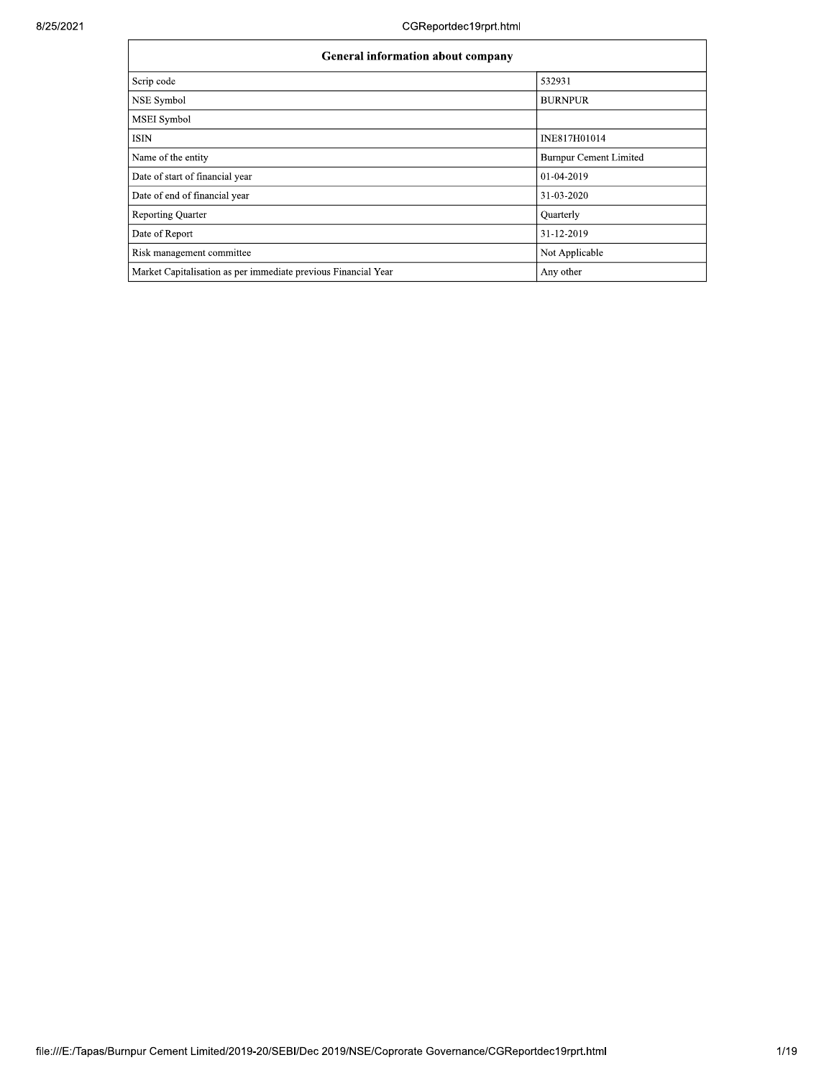| <b>General information about company</b>                       |                               |  |  |  |  |  |  |  |
|----------------------------------------------------------------|-------------------------------|--|--|--|--|--|--|--|
| Scrip code                                                     | 532931                        |  |  |  |  |  |  |  |
| NSE Symbol                                                     | <b>BURNPUR</b>                |  |  |  |  |  |  |  |
| <b>MSEI</b> Symbol                                             |                               |  |  |  |  |  |  |  |
| ISIN                                                           | INE817H01014                  |  |  |  |  |  |  |  |
| Name of the entity                                             | <b>Burnpur Cement Limited</b> |  |  |  |  |  |  |  |
| Date of start of financial year                                | 01-04-2019                    |  |  |  |  |  |  |  |
| Date of end of financial year                                  | 31-03-2020                    |  |  |  |  |  |  |  |
| <b>Reporting Quarter</b>                                       | Quarterly                     |  |  |  |  |  |  |  |
| Date of Report                                                 | 31-12-2019                    |  |  |  |  |  |  |  |
| Risk management committee                                      | Not Applicable                |  |  |  |  |  |  |  |
| Market Capitalisation as per immediate previous Financial Year | Any other                     |  |  |  |  |  |  |  |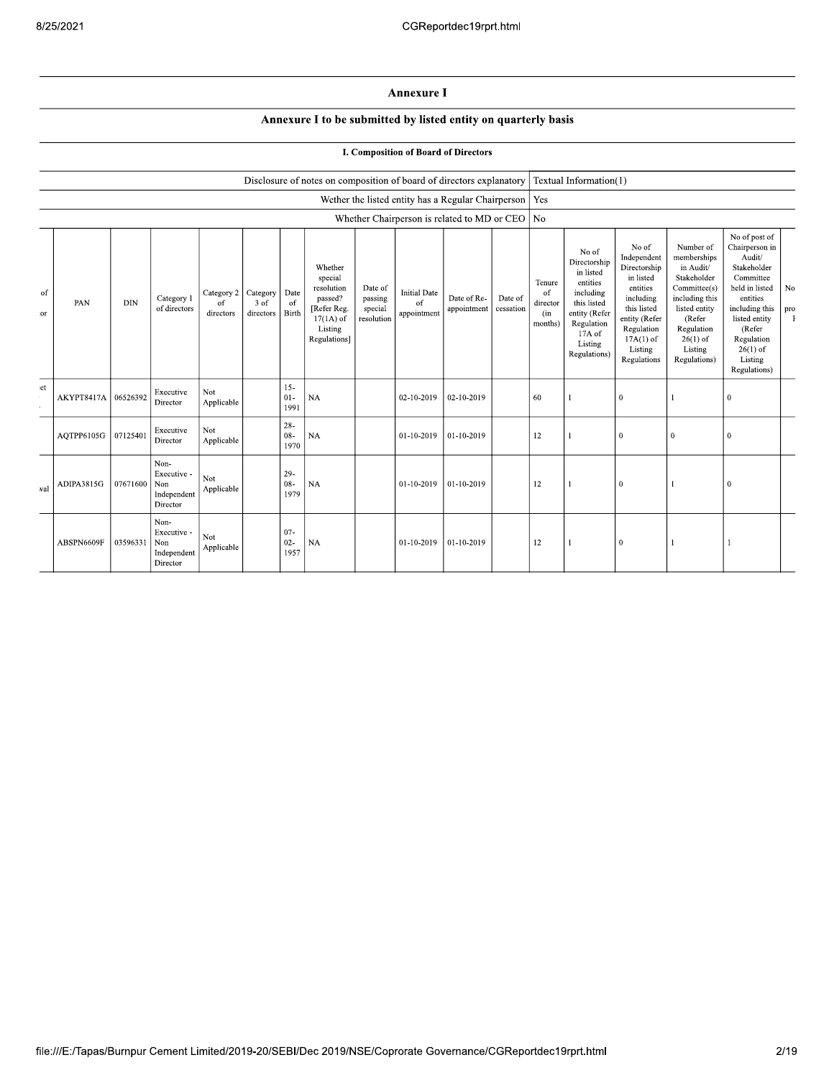## **Annexure I**

## Annexure I to be submitted by listed entity on quarterly basis

## **I. Composition of Board of Directors**

|          |            |            |                                                       |                               |                                      |                          | Disclosure of notes on composition of board of directors explanatory                                 |                                             |                                                    |                            |                      |                                            | Textual Information(1)                                                                                                                         |                                                                                                                                                                   |                                                                                                                                                                          |                                                                                                                                                                                                         |           |
|----------|------------|------------|-------------------------------------------------------|-------------------------------|--------------------------------------|--------------------------|------------------------------------------------------------------------------------------------------|---------------------------------------------|----------------------------------------------------|----------------------------|----------------------|--------------------------------------------|------------------------------------------------------------------------------------------------------------------------------------------------|-------------------------------------------------------------------------------------------------------------------------------------------------------------------|--------------------------------------------------------------------------------------------------------------------------------------------------------------------------|---------------------------------------------------------------------------------------------------------------------------------------------------------------------------------------------------------|-----------|
|          |            |            |                                                       |                               |                                      |                          |                                                                                                      |                                             | Wether the listed entity has a Regular Chairperson |                            |                      | Yes                                        |                                                                                                                                                |                                                                                                                                                                   |                                                                                                                                                                          |                                                                                                                                                                                                         |           |
|          |            |            |                                                       |                               |                                      |                          |                                                                                                      |                                             | Whether Chairperson is related to MD or CEO   No   |                            |                      |                                            |                                                                                                                                                |                                                                                                                                                                   |                                                                                                                                                                          |                                                                                                                                                                                                         |           |
| of<br>or | PAN        | <b>DIN</b> | Category 1<br>of directors                            | Category 2<br>of<br>directors | Category   Date<br>3 of<br>directors | of<br>Birth              | Whether<br>special<br>resolution<br>passed?<br>[Refer Reg.<br>$17(1A)$ of<br>Listing<br>Regulations] | Date of<br>passing<br>special<br>resolution | <b>Initial Date</b><br>of<br>appointment           | Date of Re-<br>appointment | Date of<br>cessation | Tenure<br>of<br>director<br>(in<br>months) | No of<br>Directorship<br>in listed<br>entities<br>including<br>this listed<br>entity (Refer<br>Regulation<br>17A of<br>Listing<br>Regulations) | No of<br>Independent<br>Directorship<br>in listed<br>entities<br>including<br>this listed<br>entity (Refer<br>Regulation<br>$17A(1)$ of<br>Listing<br>Regulations | Number of<br>memberships<br>in Audit/<br>Stakeholder<br>Committee(s)<br>including this<br>listed entity<br>(Refer<br>Regulation<br>$26(1)$ of<br>Listing<br>Regulations) | No of post of<br>Chairperson in<br>Audit/<br>Stakeholder<br>Committee<br>held in listed<br>entities<br>including this<br>listed entity<br>(Refer<br>Regulation<br>$26(1)$ of<br>Listing<br>Regulations) | No<br>pro |
| et       | AKYPT8417A | 06526392   | Executive<br>Director                                 | Not<br>Applicable             |                                      | $15 -$<br>$01-$<br>1991  | <b>NA</b>                                                                                            |                                             | 02-10-2019                                         | 02-10-2019                 |                      | 60                                         | $\overline{1}$                                                                                                                                 | $\boldsymbol{0}$                                                                                                                                                  |                                                                                                                                                                          | $\theta$                                                                                                                                                                                                |           |
|          | AQTPP6105G | 07125401   | Executive<br>Director                                 | Not<br>Applicable             |                                      | $28 -$<br>$08 -$<br>1970 | <b>NA</b>                                                                                            |                                             | 01-10-2019                                         | 01-10-2019                 |                      | 12                                         |                                                                                                                                                | $\mathbf{0}$                                                                                                                                                      | $\Omega$                                                                                                                                                                 | $\theta$                                                                                                                                                                                                |           |
| val      | ADIPA3815G | 07671600   | Non-<br>Executive -<br>Non<br>Independent<br>Director | Not<br>Applicable             |                                      | $29-$<br>$08 -$<br>1979  | <b>NA</b>                                                                                            |                                             | 01-10-2019                                         | 01-10-2019                 |                      | 12                                         | -1                                                                                                                                             | $\theta$                                                                                                                                                          |                                                                                                                                                                          | $\Omega$                                                                                                                                                                                                |           |
|          | ABSPN6609F | 03596331   | Non-<br>Executive -<br>Non<br>Independent<br>Director | Not<br>Applicable             |                                      | $07 -$<br>$02 -$<br>1957 | <b>NA</b>                                                                                            |                                             | 01-10-2019                                         | 01-10-2019                 |                      | 12                                         |                                                                                                                                                | $\mathbf{0}$                                                                                                                                                      |                                                                                                                                                                          |                                                                                                                                                                                                         |           |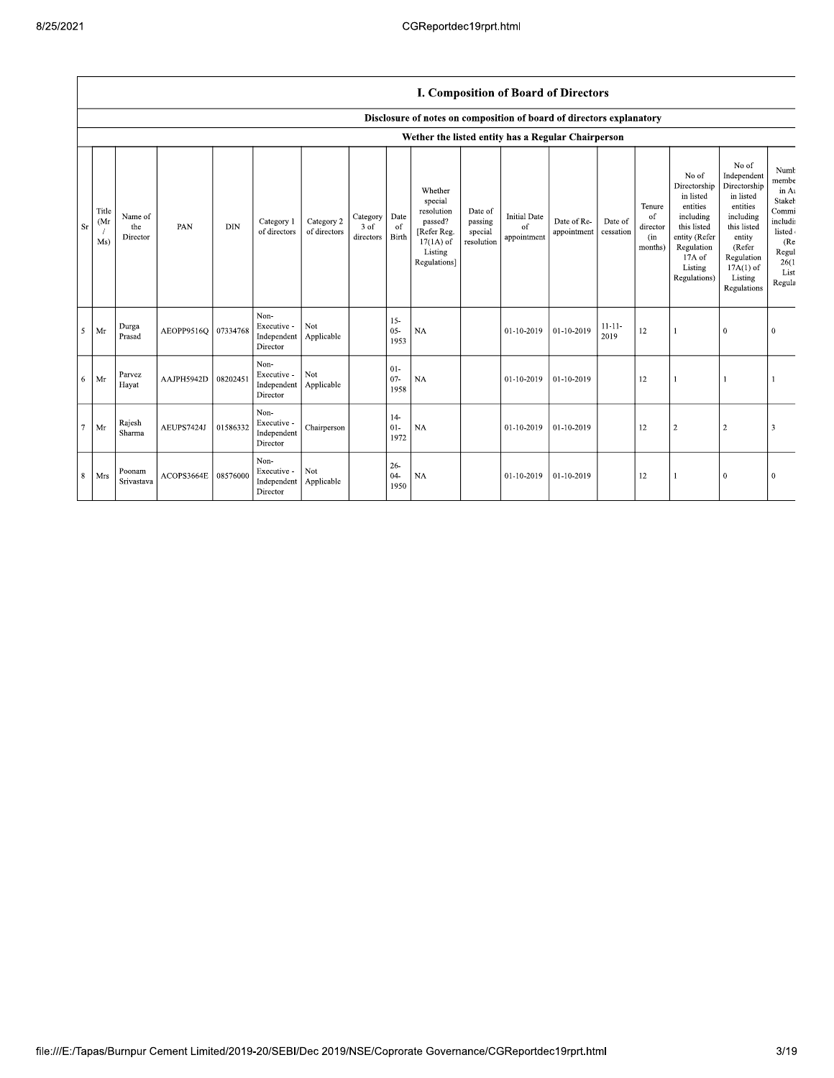## I. Composition of Board of Directors

|                 |                     |                            |            |            |                                                |                            |                               |                          | Disclosure of notes on composition of board of directors explanatory                                 |                                             |                                          |                            |                      |                                                       |                                                                                                                                                |                                                                                                                                                                      |                                                                                                           |
|-----------------|---------------------|----------------------------|------------|------------|------------------------------------------------|----------------------------|-------------------------------|--------------------------|------------------------------------------------------------------------------------------------------|---------------------------------------------|------------------------------------------|----------------------------|----------------------|-------------------------------------------------------|------------------------------------------------------------------------------------------------------------------------------------------------|----------------------------------------------------------------------------------------------------------------------------------------------------------------------|-----------------------------------------------------------------------------------------------------------|
|                 |                     |                            |            |            |                                                |                            |                               |                          | Wether the listed entity has a Regular Chairperson                                                   |                                             |                                          |                            |                      |                                                       |                                                                                                                                                |                                                                                                                                                                      |                                                                                                           |
| Sr              | Title<br>(Mr<br>Ms) | Name of<br>the<br>Director | PAN        | <b>DIN</b> | Category 1<br>of directors                     | Category 2<br>of directors | Category<br>3 of<br>directors | Date<br>of<br>Birth      | Whether<br>special<br>resolution<br>passed?<br>[Refer Reg.<br>$17(1A)$ of<br>Listing<br>Regulations] | Date of<br>passing<br>special<br>resolution | <b>Initial Date</b><br>of<br>appointment | Date of Re-<br>appointment | Date of<br>cessation | Tenure<br><sub>of</sub><br>director<br>(in<br>months) | No of<br>Directorship<br>in listed<br>entities<br>including<br>this listed<br>entity (Refer<br>Regulation<br>17A of<br>Listing<br>Regulations) | No of<br>Independent<br>Directorship<br>in listed<br>entities<br>including<br>this listed<br>entity<br>(Refer<br>Regulation<br>$17A(1)$ of<br>Listing<br>Regulations | Numb<br>membe<br>in At<br>Stakeh<br>Commi<br>includi<br>listed<br>(Re<br>Regul<br>26(1)<br>List<br>Regula |
| 5               | Mr                  | Durga<br>Prasad            | AEOPP9516Q | 07334768   | Non-<br>Executive -<br>Independent<br>Director | Not.<br>Applicable         |                               | $15 -$<br>$05 -$<br>1953 | <b>NA</b>                                                                                            |                                             | 01-10-2019                               | $01-10-2019$               | $11 - 11 -$<br>2019  | 12                                                    |                                                                                                                                                | $\theta$                                                                                                                                                             | $\Omega$                                                                                                  |
| -6              | Mr                  | Parvez<br>Hayat            | AAJPH5942D | 08202451   | Non-<br>Executive -<br>Independent<br>Director | Not<br>Applicable          |                               | $01 -$<br>$07 -$<br>1958 | <b>NA</b>                                                                                            |                                             | 01-10-2019                               | 01-10-2019                 |                      | 12                                                    |                                                                                                                                                |                                                                                                                                                                      |                                                                                                           |
| $7\phantom{.0}$ | Mr                  | Rajesh<br>Sharma           | AEUPS7424J | 01586332   | Non-<br>Executive -<br>Independent<br>Director | Chairperson                |                               | $14-$<br>$01 -$<br>1972  | NA                                                                                                   |                                             | 01-10-2019                               | $01-10-2019$               |                      | 12                                                    | $\sqrt{2}$                                                                                                                                     | $\overline{2}$                                                                                                                                                       | 3                                                                                                         |
| 8               | Mrs                 | Poonam<br>Srivastava       | ACOPS3664E | 08576000   | Non-<br>Executive -<br>Independent<br>Director | Not<br>Applicable          |                               | $26 -$<br>$04 -$<br>1950 | NA                                                                                                   |                                             | 01-10-2019                               | $01-10-2019$               |                      | 12                                                    |                                                                                                                                                | $\theta$                                                                                                                                                             | $\Omega$                                                                                                  |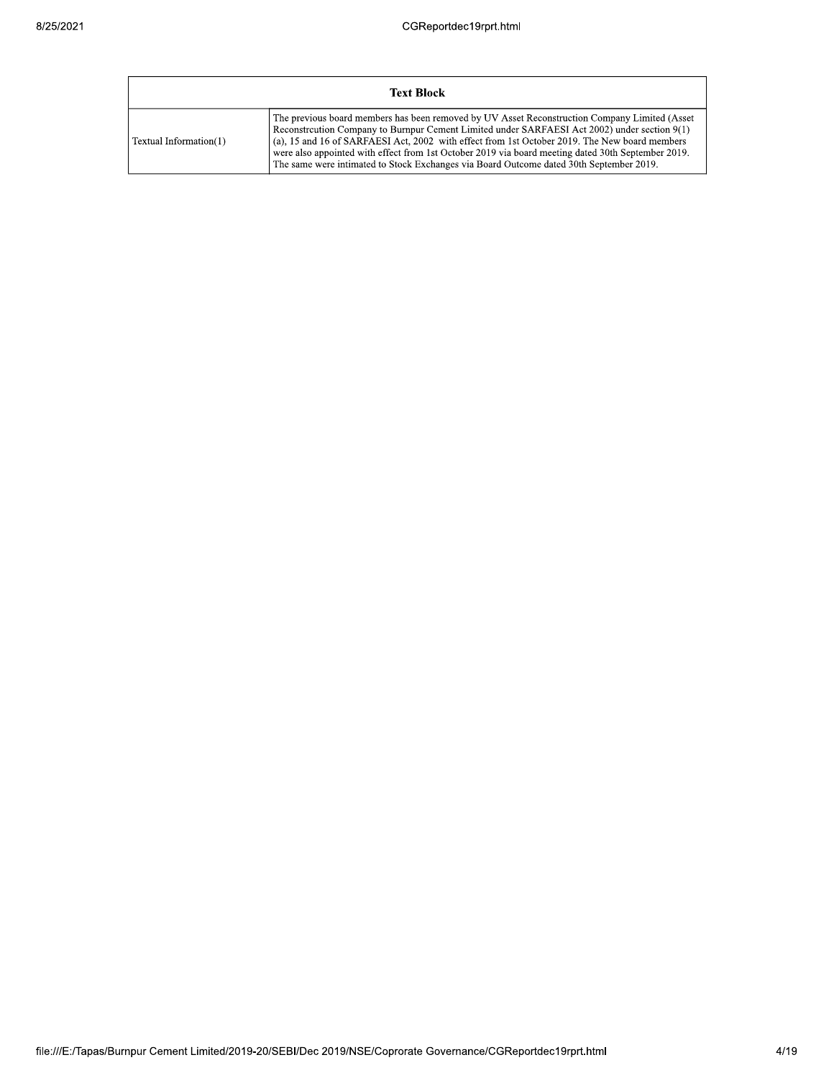|                        | <b>Text Block</b>                                                                                                                                                                                                                                                                                                                                                                                                                                                                               |
|------------------------|-------------------------------------------------------------------------------------------------------------------------------------------------------------------------------------------------------------------------------------------------------------------------------------------------------------------------------------------------------------------------------------------------------------------------------------------------------------------------------------------------|
| Textual Information(1) | The previous board members has been removed by UV Asset Reconstruction Company Limited (Asset<br>Reconstruction Company to Burnpur Cement Limited under SARFAESI Act 2002) under section 9(1)<br>(a), 15 and 16 of SARFAESI Act, 2002 with effect from 1st October 2019. The New board members<br>were also appointed with effect from 1st October 2019 via board meeting dated 30th September 2019.<br>The same were intimated to Stock Exchanges via Board Outcome dated 30th September 2019. |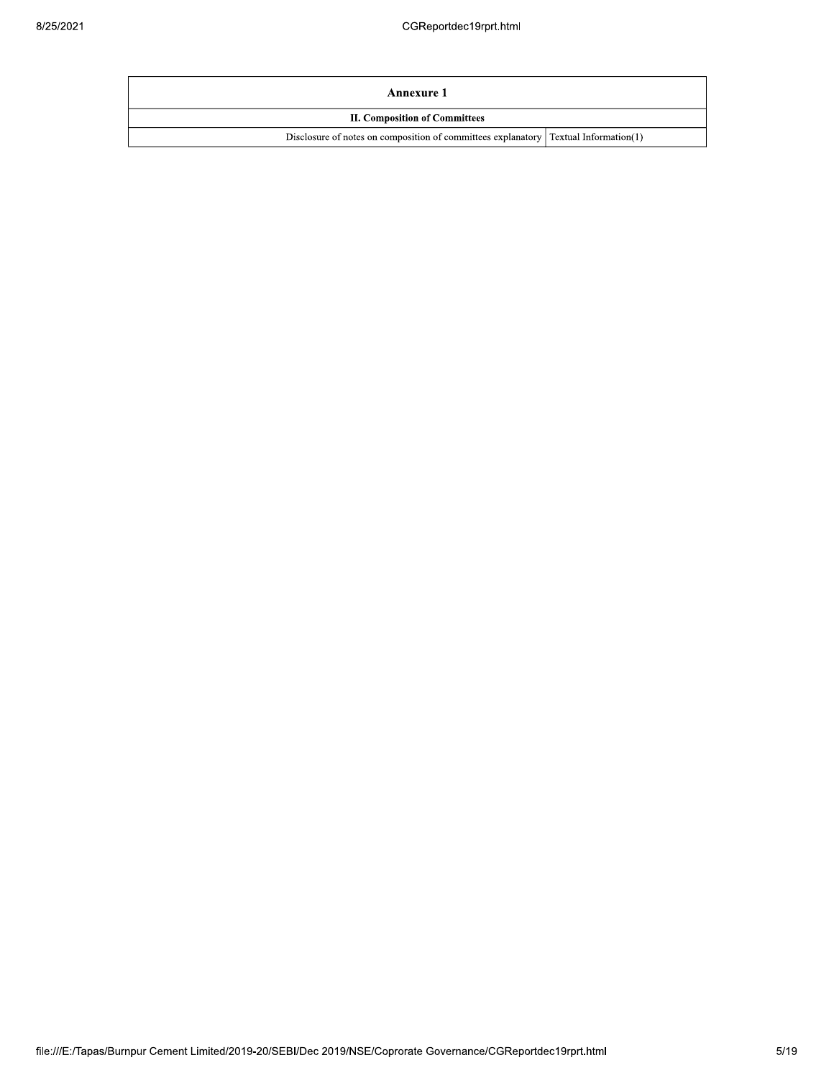| Annexure 1                                                                            |  |  |  |  |  |
|---------------------------------------------------------------------------------------|--|--|--|--|--|
| <b>II. Composition of Committees</b>                                                  |  |  |  |  |  |
| Disclosure of notes on composition of committees explanatory   Textual Information(1) |  |  |  |  |  |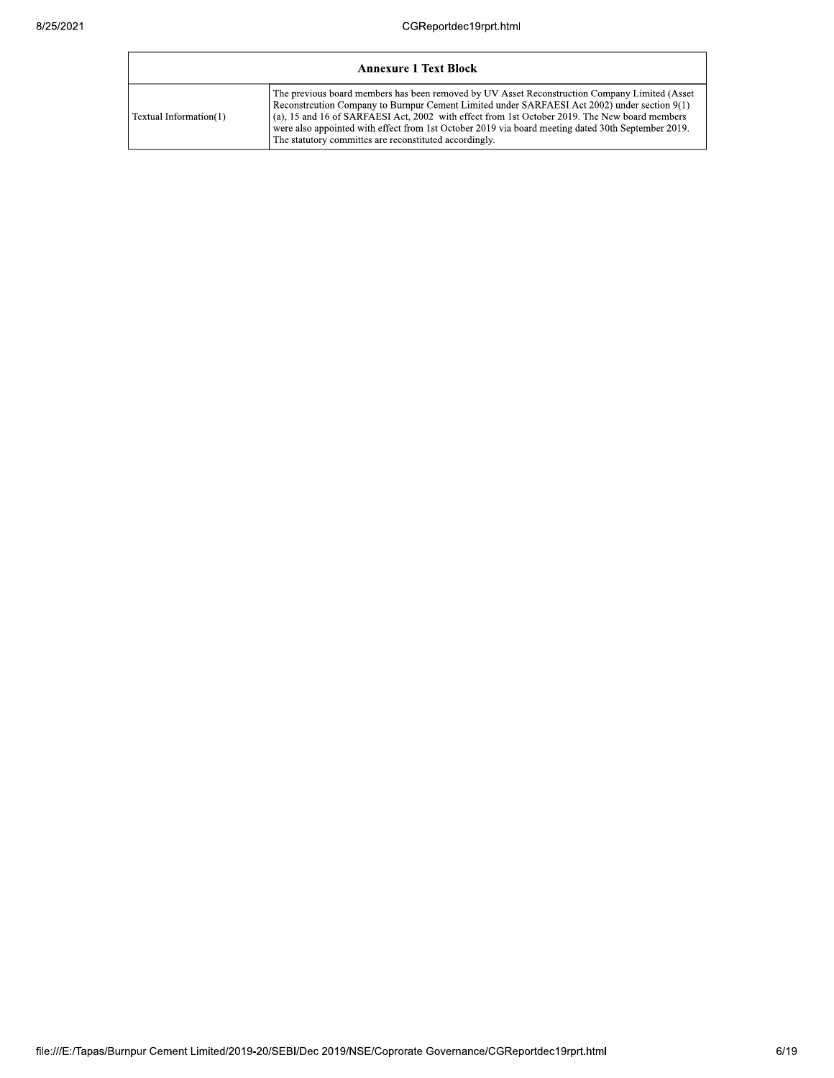|                        | <b>Annexure 1 Text Block</b>                                                                                                                                                                                                                                                                                                                                                                                                                                            |
|------------------------|-------------------------------------------------------------------------------------------------------------------------------------------------------------------------------------------------------------------------------------------------------------------------------------------------------------------------------------------------------------------------------------------------------------------------------------------------------------------------|
| Textual Information(1) | The previous board members has been removed by UV Asset Reconstruction Company Limited (Asset<br>Reconstruction Company to Burnpur Cement Limited under SARFAESI Act 2002) under section 9(1)<br>$\alpha$ (a), 15 and 16 of SARFAESI Act, 2002 with effect from 1st October 2019. The New board members<br>were also appointed with effect from 1st October 2019 via board meeting dated 30th September 2019.<br>The statutory committes are reconstituted accordingly. |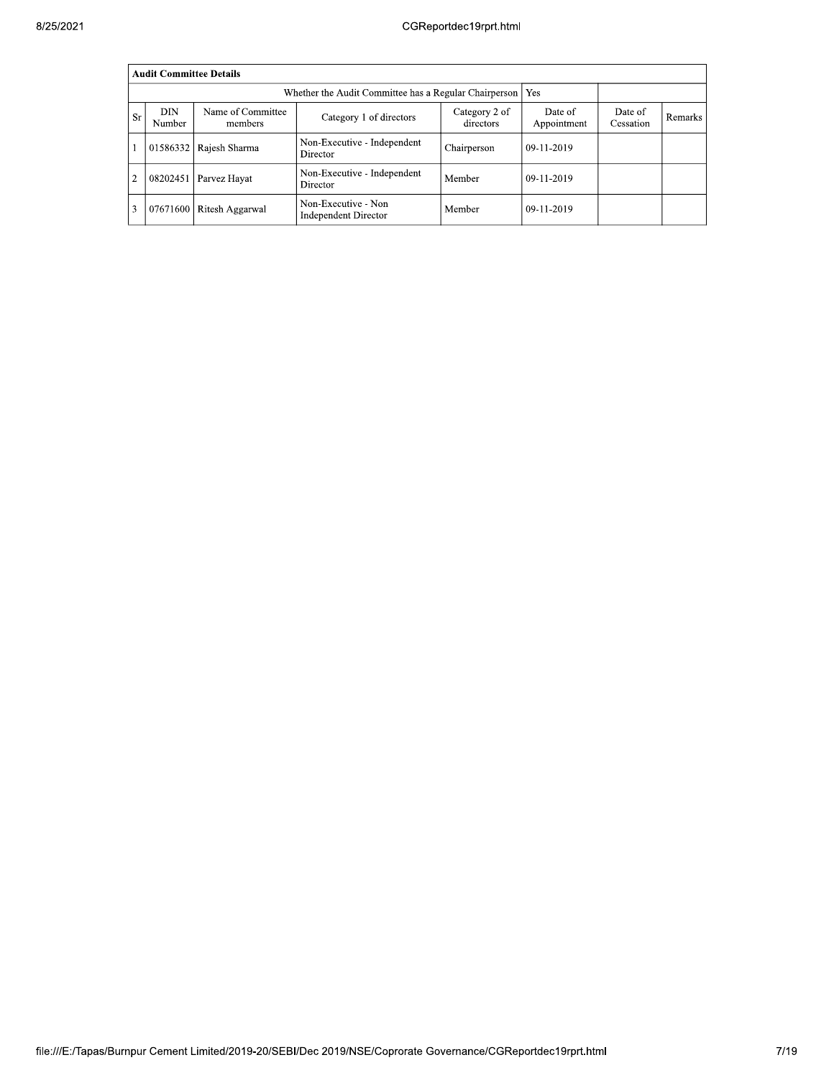|                | <b>Audit Committee Details</b> |                              |                                                    |                            |                        |                      |         |
|----------------|--------------------------------|------------------------------|----------------------------------------------------|----------------------------|------------------------|----------------------|---------|
|                |                                |                              |                                                    |                            |                        |                      |         |
| <b>Sr</b>      | DIN<br>Number                  | Name of Committee<br>members | Category 1 of directors                            | Category 2 of<br>directors | Date of<br>Appointment | Date of<br>Cessation | Remarks |
|                | 01586332                       | Rajesh Sharma                | Non-Executive - Independent<br>Director            | Chairperson                | $09-11-2019$           |                      |         |
| $\overline{c}$ | 08202451                       | Parvez Hayat                 | Non-Executive - Independent<br>Director            | Member                     | $09-11-2019$           |                      |         |
| 3              |                                | 07671600 Ritesh Aggarwal     | Non-Executive - Non<br><b>Independent Director</b> | Member                     | $09-11-2019$           |                      |         |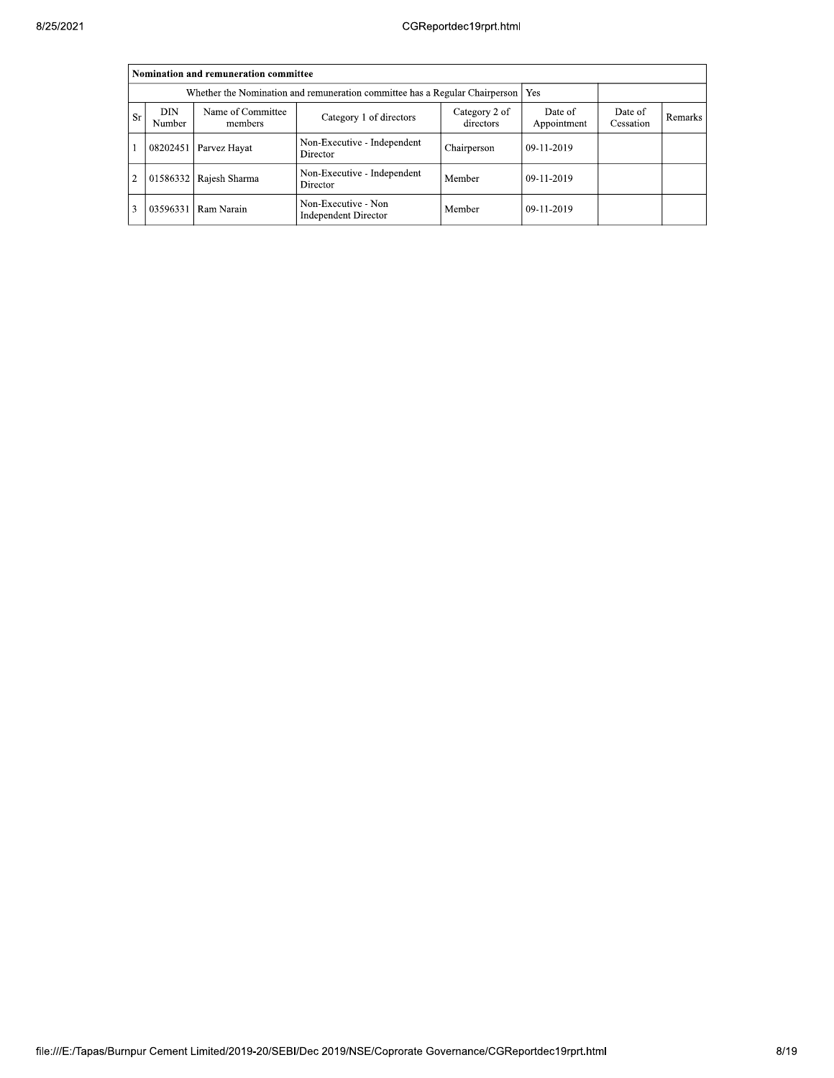|           |                                                                                   | Nomination and remuneration committee |                                             |                            |                        |                      |         |
|-----------|-----------------------------------------------------------------------------------|---------------------------------------|---------------------------------------------|----------------------------|------------------------|----------------------|---------|
|           | Whether the Nomination and remuneration committee has a Regular Chairperson   Yes |                                       |                                             |                            |                        |                      |         |
| <b>Sr</b> | DIN<br>Number                                                                     | Name of Committee<br>members          | Category 1 of directors                     | Category 2 of<br>directors | Date of<br>Appointment | Date of<br>Cessation | Remarks |
|           | 08202451                                                                          | Parvez Hayat                          | Non-Executive - Independent<br>Director     | Chairperson                | $09-11-2019$           |                      |         |
|           | 01586332                                                                          | Rajesh Sharma                         | Non-Executive - Independent<br>Director     | Member                     | $09-11-2019$           |                      |         |
|           | 03596331                                                                          | Ram Narain                            | Non-Executive - Non<br>Independent Director | Member                     | $09-11-2019$           |                      |         |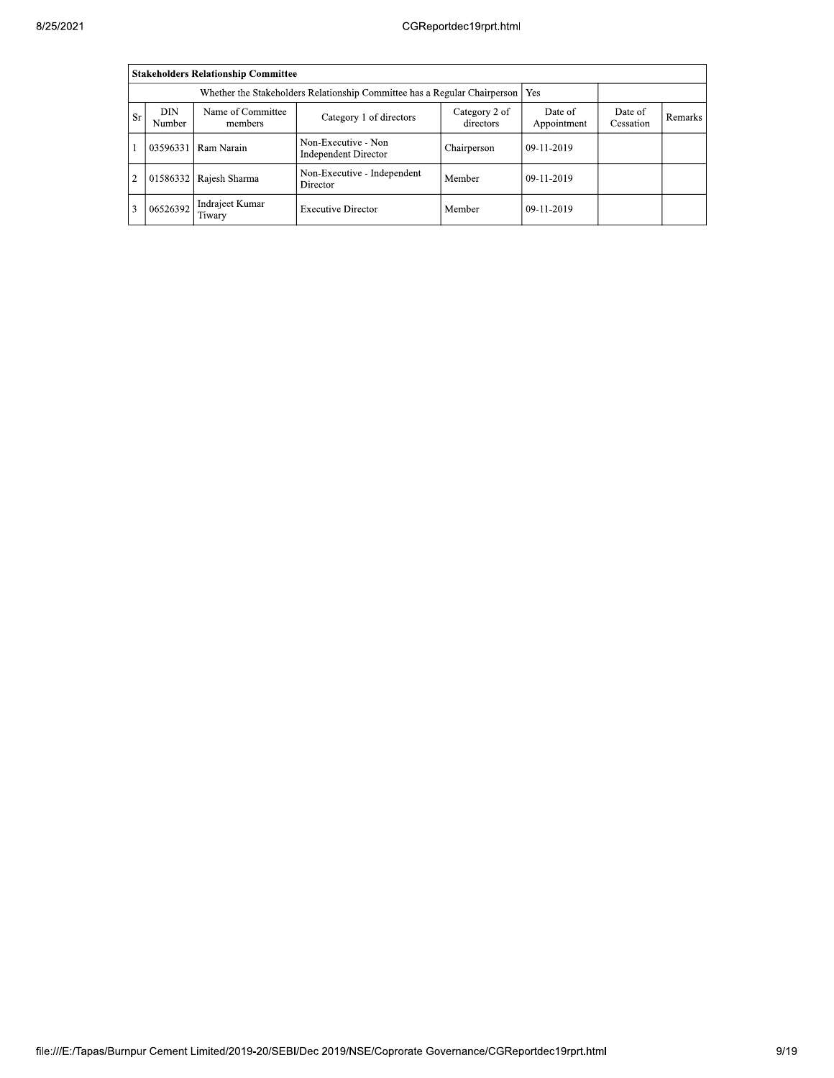| 8/25/2021 |                |                      |                                            |                                                    | CGReportdec19rprt.html     |                        |                      |         |
|-----------|----------------|----------------------|--------------------------------------------|----------------------------------------------------|----------------------------|------------------------|----------------------|---------|
|           |                |                      | <b>Stakeholders Relationship Committee</b> |                                                    |                            |                        |                      |         |
|           |                |                      |                                            |                                                    |                            |                        |                      |         |
|           | <b>Sr</b>      | <b>DIN</b><br>Number | Name of Committee<br>members               | Category 1 of directors                            | Category 2 of<br>directors | Date of<br>Appointment | Date of<br>Cessation | Remarks |
|           |                | 03596331             | Ram Narain                                 | Non-Executive - Non<br><b>Independent Director</b> | Chairperson                | 09-11-2019             |                      |         |
|           | $\overline{2}$ |                      | 01586332 Rajesh Sharma                     | Non-Executive - Independent<br>Director            | Member                     | 09-11-2019             |                      |         |
|           | 3              | 06526392             | Indrajeet Kumar<br>Tiwary                  | <b>Executive Director</b>                          | Member                     | 09-11-2019             |                      |         |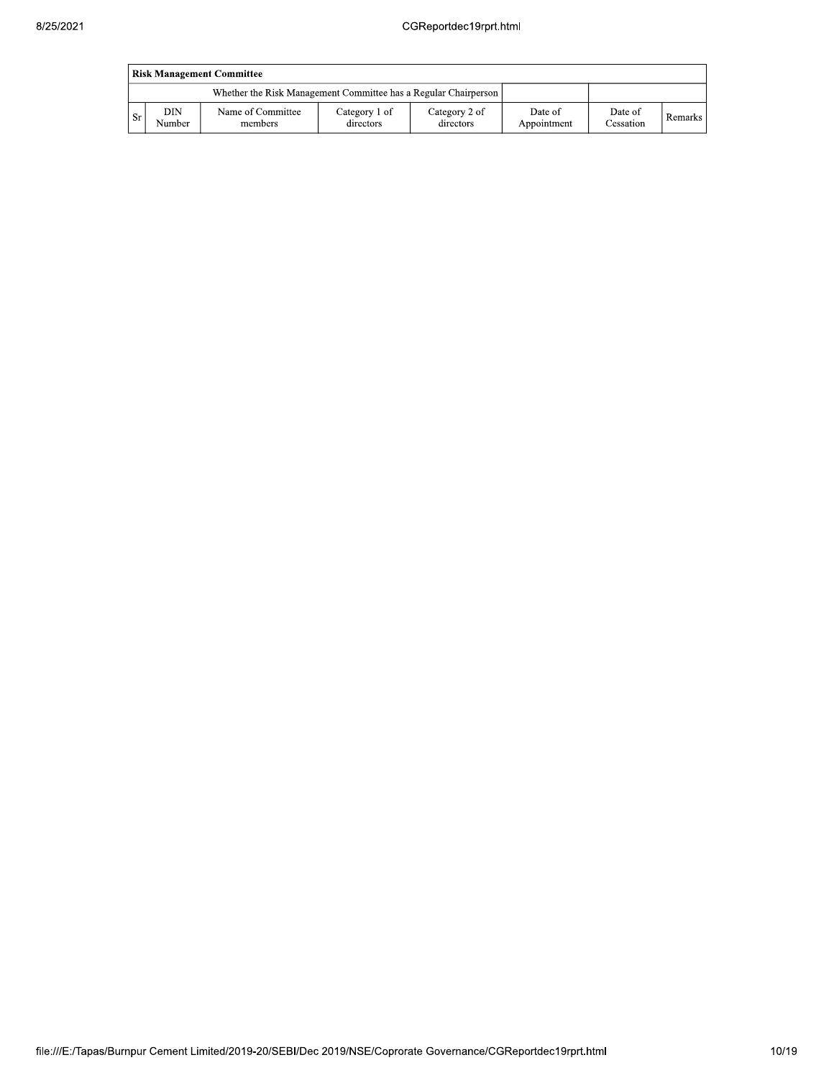|      | <b>Risk Management Committee</b> |                                                                 |                            |                            |                        |                             |         |  |  |  |  |  |
|------|----------------------------------|-----------------------------------------------------------------|----------------------------|----------------------------|------------------------|-----------------------------|---------|--|--|--|--|--|
|      |                                  | Whether the Risk Management Committee has a Regular Chairperson |                            |                            |                        |                             |         |  |  |  |  |  |
| . Sr | DIN<br>Number                    | Name of Committee<br>members                                    | Category 1 of<br>directors | Category 2 of<br>directors | Date of<br>Appointment | Date of<br><b>Cessation</b> | Remarks |  |  |  |  |  |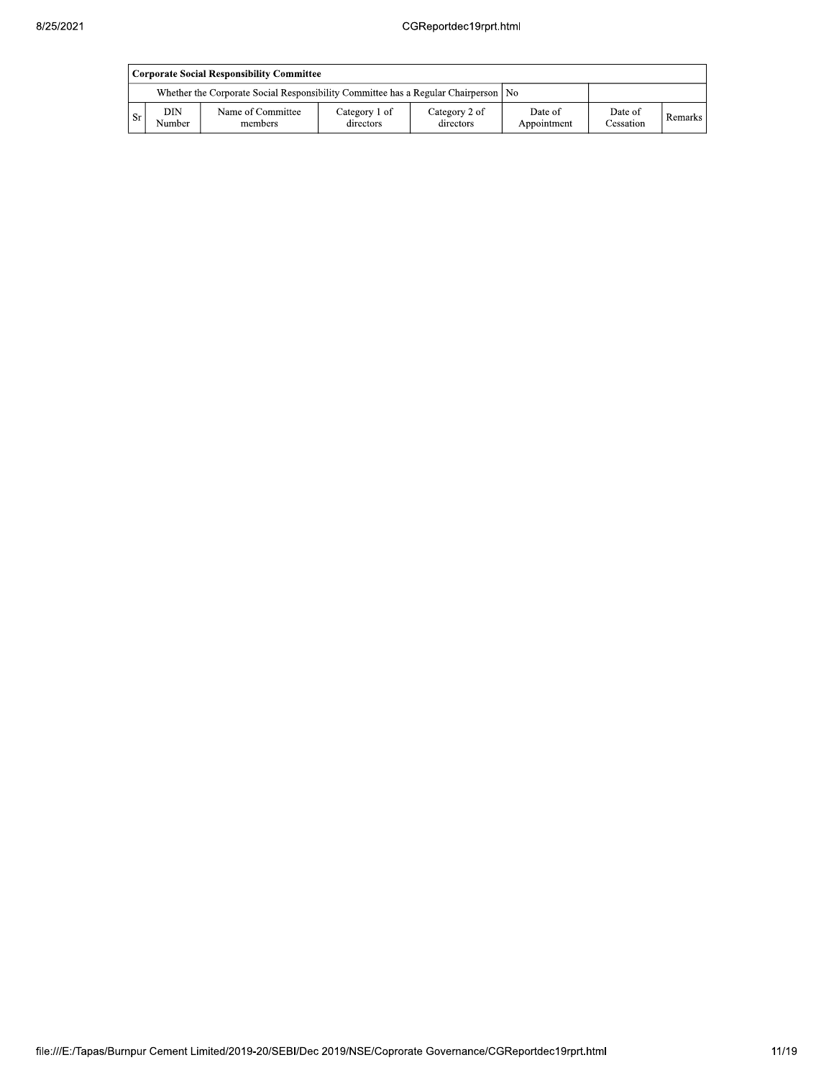|      | Corporate Social Responsibility Committee                                            |                              |                            |                            |                        |                      |           |  |  |  |  |  |
|------|--------------------------------------------------------------------------------------|------------------------------|----------------------------|----------------------------|------------------------|----------------------|-----------|--|--|--|--|--|
|      | Whether the Corporate Social Responsibility Committee has a Regular Chairperson   No |                              |                            |                            |                        |                      |           |  |  |  |  |  |
| - Sr | DIN<br>Number                                                                        | Name of Committee<br>members | Category 1 of<br>directors | Category 2 of<br>directors | Date of<br>Appointment | Date of<br>Cessation | Remarks I |  |  |  |  |  |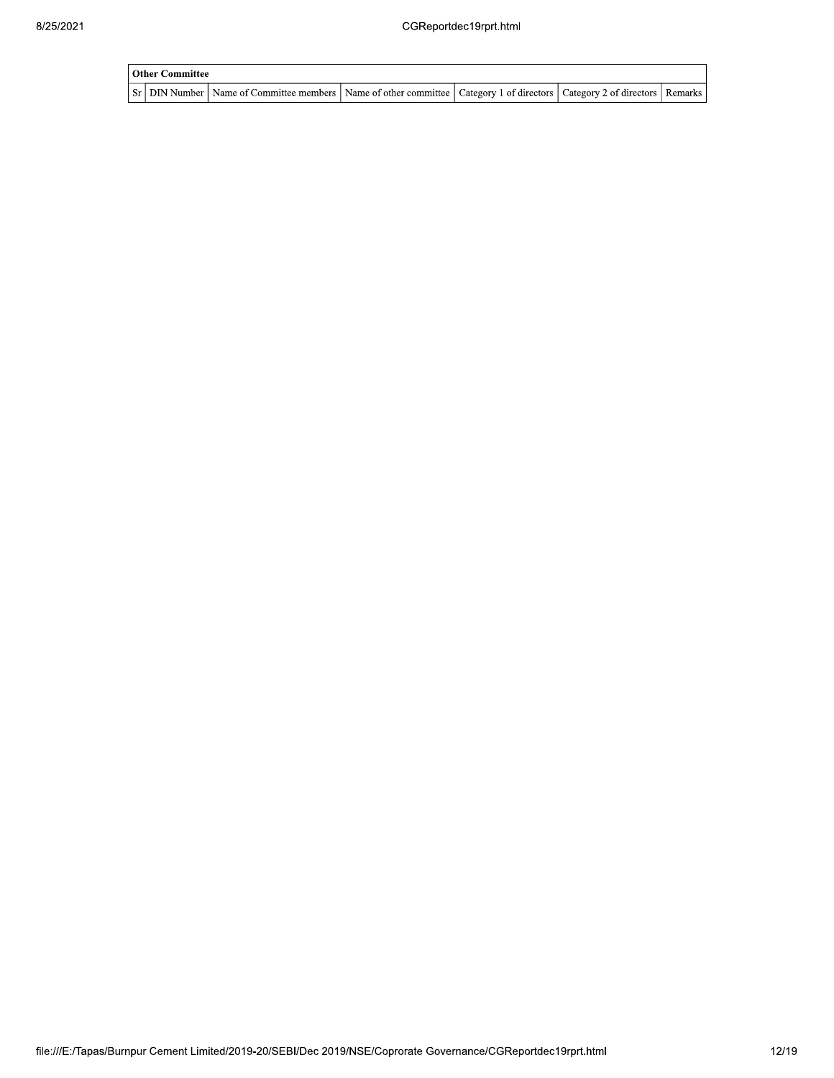| l Other Committee |                                                                                                                                     |  |  |  |  |  |  |  |  |  |
|-------------------|-------------------------------------------------------------------------------------------------------------------------------------|--|--|--|--|--|--|--|--|--|
|                   | Sr   DIN Number   Name of Committee members   Name of other committee   Category 1 of directors   Category 2 of directors   Remarks |  |  |  |  |  |  |  |  |  |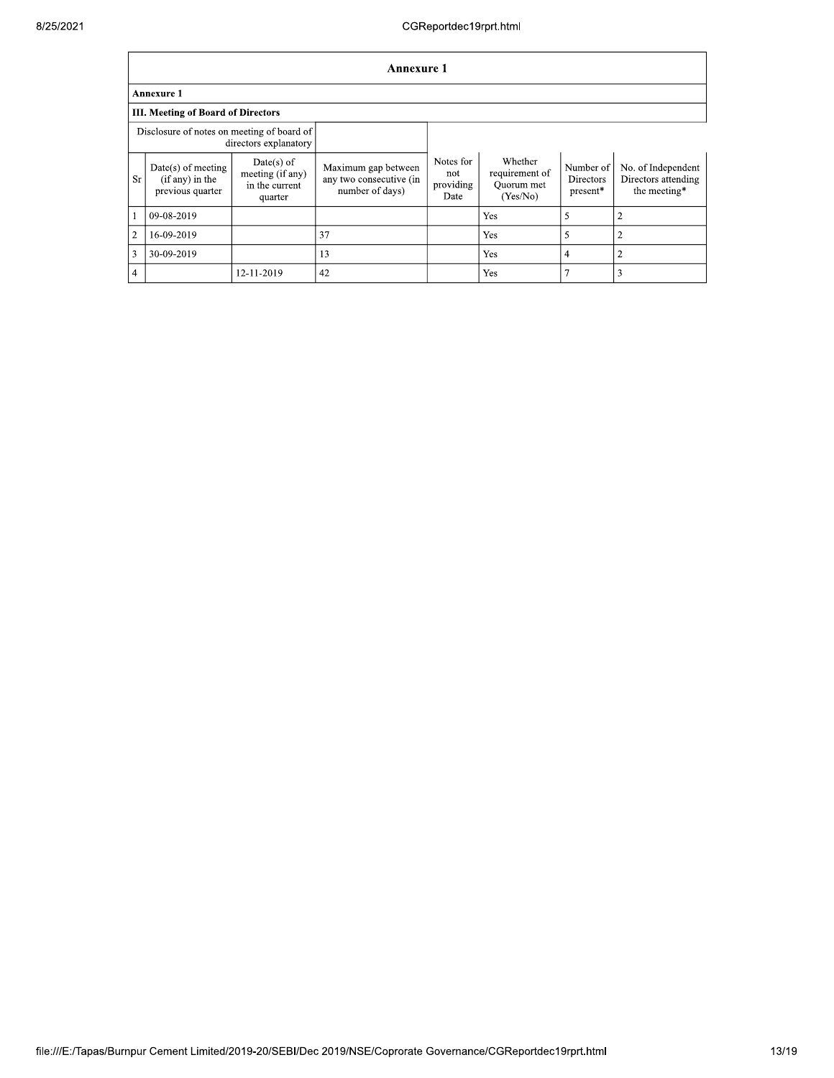|                                                                     | <b>Annexure 1</b>                                             |                                                               |                                                                   |                                       |                                                     |                                    |                                                           |
|---------------------------------------------------------------------|---------------------------------------------------------------|---------------------------------------------------------------|-------------------------------------------------------------------|---------------------------------------|-----------------------------------------------------|------------------------------------|-----------------------------------------------------------|
|                                                                     | <b>Annexure 1</b>                                             |                                                               |                                                                   |                                       |                                                     |                                    |                                                           |
|                                                                     | <b>III. Meeting of Board of Directors</b>                     |                                                               |                                                                   |                                       |                                                     |                                    |                                                           |
| Disclosure of notes on meeting of board of<br>directors explanatory |                                                               |                                                               |                                                                   |                                       |                                                     |                                    |                                                           |
| Sr                                                                  | $Date(s)$ of meeting<br>$(if any)$ in the<br>previous quarter | $Date(s)$ of<br>meeting (if any)<br>in the current<br>quarter | Maximum gap between<br>any two consecutive (in<br>number of days) | Notes for<br>not<br>providing<br>Date | Whether<br>requirement of<br>Ouorum met<br>(Yes/No) | Number of<br>Directors<br>present* | No. of Independent<br>Directors attending<br>the meeting* |
| -1                                                                  | 09-08-2019                                                    |                                                               |                                                                   |                                       | Yes                                                 | 5                                  | $\overline{2}$                                            |
| $\overline{2}$                                                      | 16-09-2019                                                    |                                                               | 37                                                                |                                       | Yes                                                 | 5                                  | 2                                                         |
| 3                                                                   | 30-09-2019                                                    |                                                               | 13                                                                |                                       | Yes                                                 | $\overline{4}$                     | 2                                                         |
| $\overline{4}$                                                      |                                                               | 12-11-2019                                                    | 42                                                                |                                       | Yes                                                 | 7                                  | 3                                                         |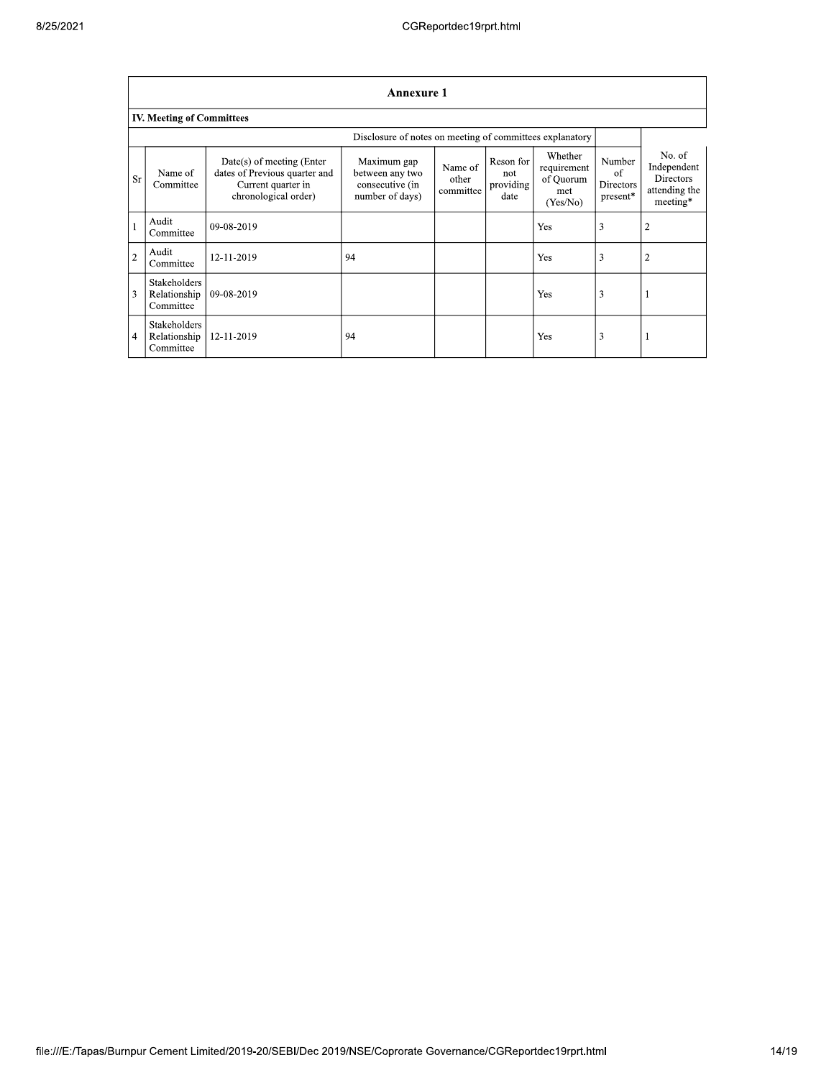|                | <b>Annexure 1</b>                                        |                                                                                                          |                                                                      |                               |                                       |                                                        |                                       |                                                                        |
|----------------|----------------------------------------------------------|----------------------------------------------------------------------------------------------------------|----------------------------------------------------------------------|-------------------------------|---------------------------------------|--------------------------------------------------------|---------------------------------------|------------------------------------------------------------------------|
|                | <b>IV. Meeting of Committees</b>                         |                                                                                                          |                                                                      |                               |                                       |                                                        |                                       |                                                                        |
|                | Disclosure of notes on meeting of committees explanatory |                                                                                                          |                                                                      |                               |                                       |                                                        |                                       |                                                                        |
| <b>Sr</b>      | Name of<br>Committee                                     | Date(s) of meeting (Enter<br>dates of Previous quarter and<br>Current quarter in<br>chronological order) | Maximum gap<br>between any two<br>consecutive (in<br>number of days) | Name of<br>other<br>committee | Reson for<br>not<br>providing<br>date | Whether<br>requirement<br>of Quorum<br>met<br>(Yes/No) | Number<br>of<br>Directors<br>present* | No. of<br>Independent<br><b>Directors</b><br>attending the<br>meeting* |
| $\mathbf{1}$   | Audit<br>Committee                                       | 09-08-2019                                                                                               |                                                                      |                               |                                       | Yes                                                    | 3                                     | 2                                                                      |
| $\overline{2}$ | Audit<br>Committee                                       | 12-11-2019                                                                                               | 94                                                                   |                               |                                       | Yes                                                    | 3                                     | 2                                                                      |
| 3              | Stakeholders<br>Relationship<br>Committee                | 09-08-2019                                                                                               |                                                                      |                               |                                       | Yes                                                    | 3                                     |                                                                        |
| 4              | Stakeholders<br>Relationship<br>Committee                | 12-11-2019                                                                                               | 94                                                                   |                               |                                       | Yes                                                    | 3                                     |                                                                        |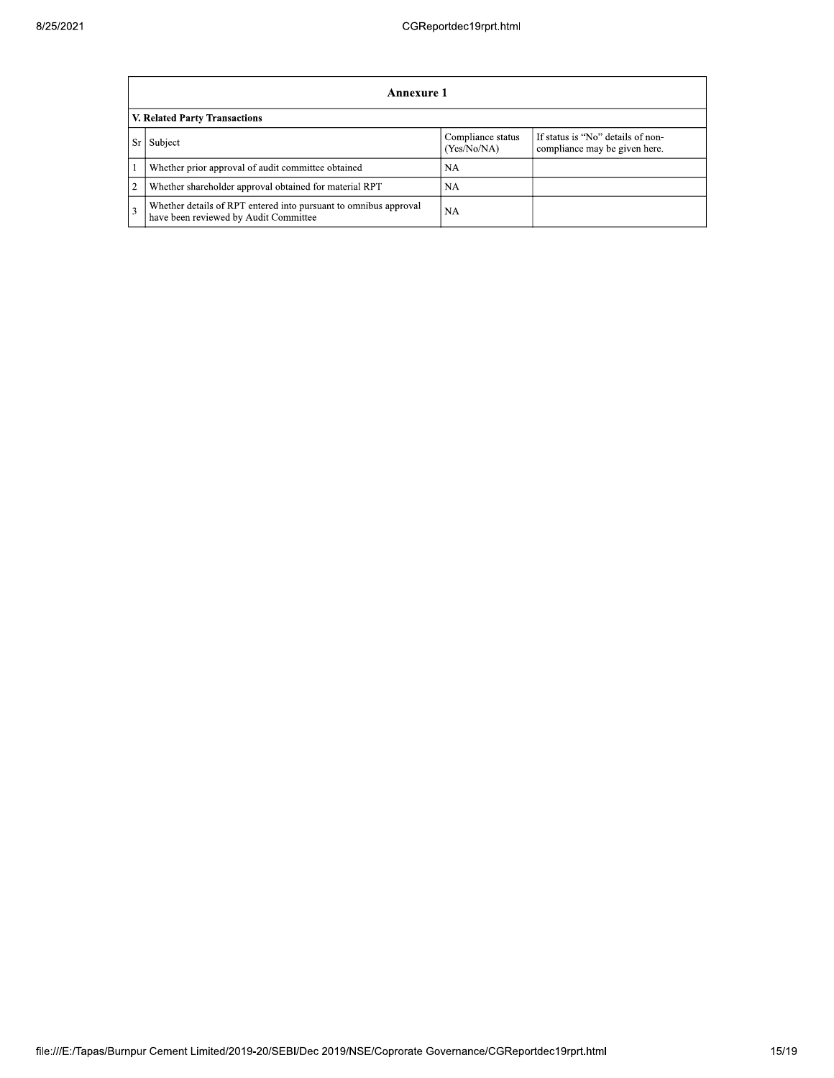|                | Annexure 1                                                                                                |                                  |                                                                    |  |  |
|----------------|-----------------------------------------------------------------------------------------------------------|----------------------------------|--------------------------------------------------------------------|--|--|
|                | V. Related Party Transactions                                                                             |                                  |                                                                    |  |  |
| Sr             | Subject                                                                                                   | Compliance status<br>(Yes/No/NA) | If status is "No" details of non-<br>compliance may be given here. |  |  |
|                | Whether prior approval of audit committee obtained                                                        | <b>NA</b>                        |                                                                    |  |  |
| $\overline{2}$ | Whether shareholder approval obtained for material RPT                                                    | NA                               |                                                                    |  |  |
| 3              | Whether details of RPT entered into pursuant to omnibus approval<br>have been reviewed by Audit Committee | <b>NA</b>                        |                                                                    |  |  |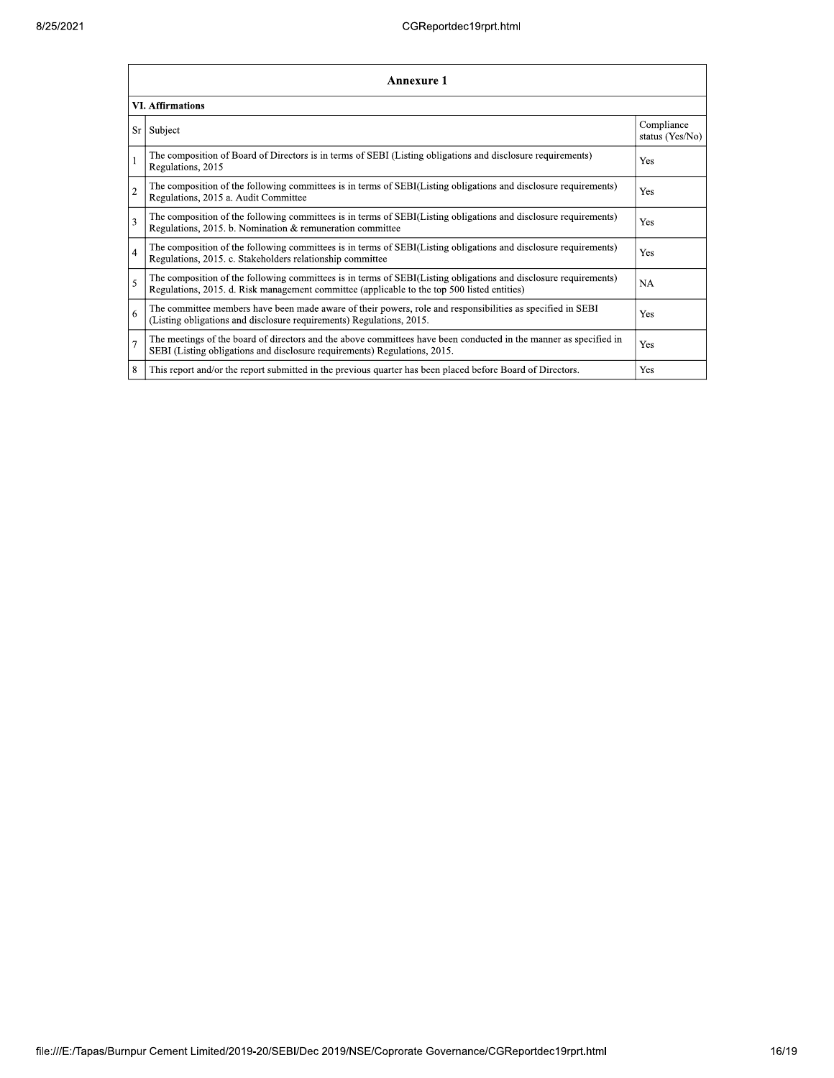|                | <b>Annexure 1</b>                                                                                                                                                                                               |                               |  |  |  |  |
|----------------|-----------------------------------------------------------------------------------------------------------------------------------------------------------------------------------------------------------------|-------------------------------|--|--|--|--|
|                | <b>VI. Affirmations</b>                                                                                                                                                                                         |                               |  |  |  |  |
| Sr             | Subject                                                                                                                                                                                                         | Compliance<br>status (Yes/No) |  |  |  |  |
|                | The composition of Board of Directors is in terms of SEBI (Listing obligations and disclosure requirements)<br>Regulations, 2015                                                                                | Yes                           |  |  |  |  |
| $\overline{2}$ | The composition of the following committees is in terms of SEBI(Listing obligations and disclosure requirements)<br>Regulations, 2015 a. Audit Committee                                                        | Yes                           |  |  |  |  |
| 3              | The composition of the following committees is in terms of SEBI(Listing obligations and disclosure requirements)<br>Regulations, 2015. b. Nomination & remuneration committee                                   | Yes                           |  |  |  |  |
| $\overline{4}$ | The composition of the following committees is in terms of SEBI(Listing obligations and disclosure requirements)<br>Regulations, 2015. c. Stakeholders relationship committee                                   | Yes                           |  |  |  |  |
| 5              | The composition of the following committees is in terms of SEBI(Listing obligations and disclosure requirements)<br>Regulations, 2015. d. Risk management committee (applicable to the top 500 listed entities) | <b>NA</b>                     |  |  |  |  |
| 6              | The committee members have been made aware of their powers, role and responsibilities as specified in SEBI<br>(Listing obligations and disclosure requirements) Regulations, 2015.                              | Yes                           |  |  |  |  |
| $\overline{7}$ | The meetings of the board of directors and the above committees have been conducted in the manner as specified in<br>SEBI (Listing obligations and disclosure requirements) Regulations, 2015.                  | Yes                           |  |  |  |  |
| 8              | This report and/or the report submitted in the previous quarter has been placed before Board of Directors.                                                                                                      | Yes                           |  |  |  |  |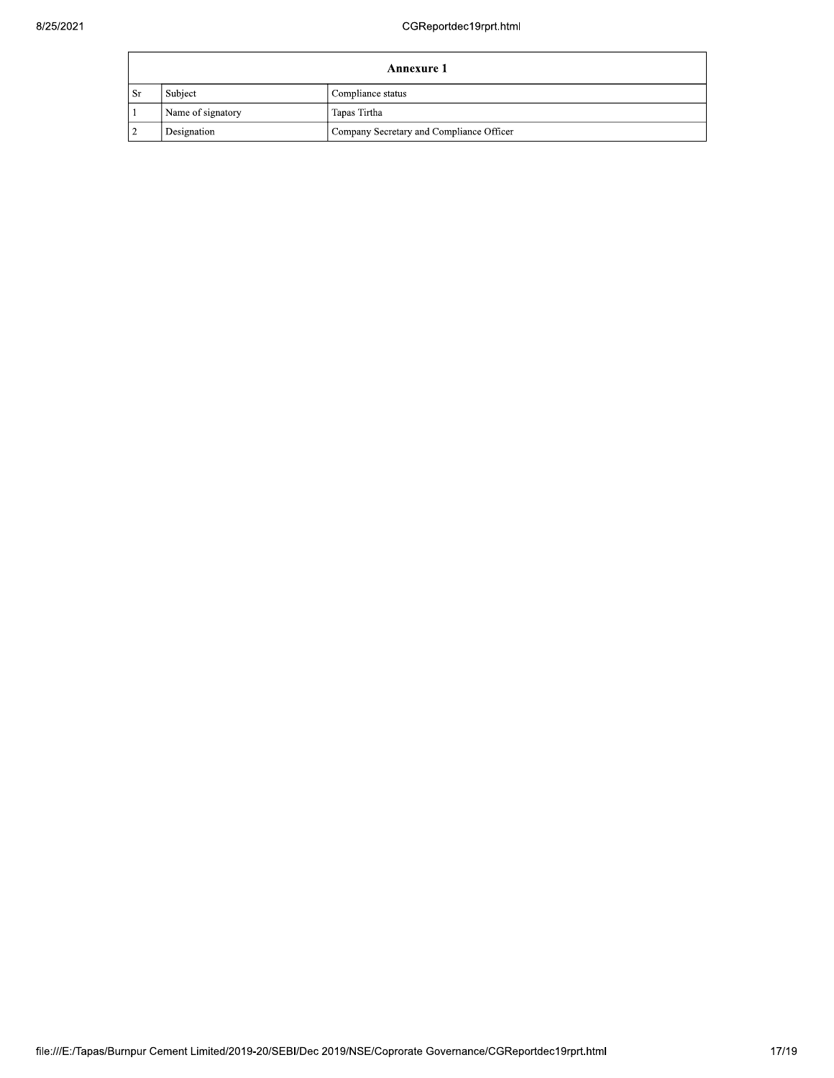|    | Annexure 1        |                                          |  |
|----|-------------------|------------------------------------------|--|
| Sr | Subject           | Compliance status                        |  |
|    | Name of signatory | Tapas Tirtha                             |  |
|    | Designation       | Company Secretary and Compliance Officer |  |